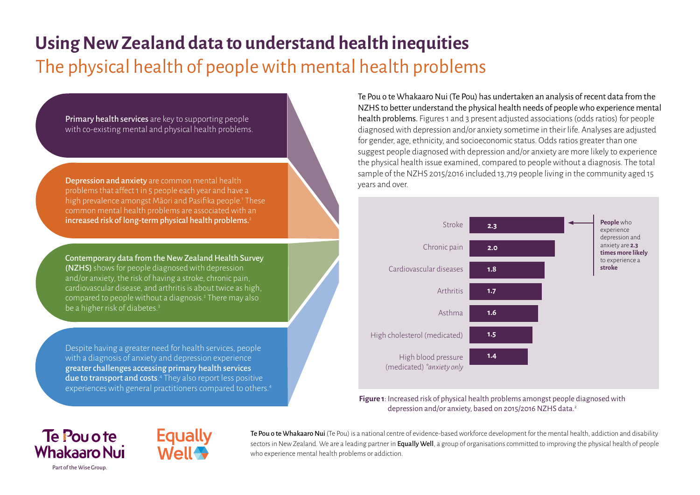# **Using New Zealand data to understand health inequities** The physical health of people with mental health problems

Primary health services are key to supporting people with co-existing mental and physical health problems.

Depression and anxiety are common mental health problems that affect 1 in 5 people each year and have a high prevalence amongst Māori and Pasifika people.<sup>1</sup> These common mental health problems are associated with an increased risk of long-term physical health problems.<sup>2</sup>

Contemporary data from the New Zealand Health Survey (NZHS) shows for people diagnosed with depression and/or anxiety, the risk of having a stroke, chronic pain, cardiovascular disease, and arthritis is about twice as high, compared to people without a diagnosis.<sup>2</sup> There may also be a higher risk of diabetes.3

Despite having a greater need for health services, people with a diagnosis of anxiety and depression experience greaterchallenges accessing primary health services due to transport and costs.<sup>4</sup> They also report less positive experiences with general practitioners compared to others.4 Te Pou o te Whakaaro Nui (Te Pou) has undertaken an analysis of recent data from the NZHS to better understand the physical health needs of people who experience mental health problems. Figures 1 and 3 present adjusted associations (odds ratios) for people diagnosed with depression and/or anxiety sometime in their life. Analyses are adjusted for gender, age, ethnicity, and socioeconomic status. Odds ratios greater than one suggest people diagnosed with depression and/or anxiety are more likely to experience the physical health issue examined, compared to people without a diagnosis. The total sample of the NZHS 2015/2016 included 13,719 people living in the community aged 15 years and over.



**Figure 1**: Increased risk of physical health problems amongst people diagnosed with depression and/or anxiety, based on 2015/2016 NZHS data.2

## Te Pou o te **Whakaaro Nui** Part of the Wise Group.



Te Pou o te Whakaaro Nui (Te Pou) is a national centre of evidence-based workforce development for the mental health, addiction and disability sectors in New Zealand. We are a leading partner in **Equally Well**, a group of organisations committed to improving the physical health of people who experience mental health problems or addiction.